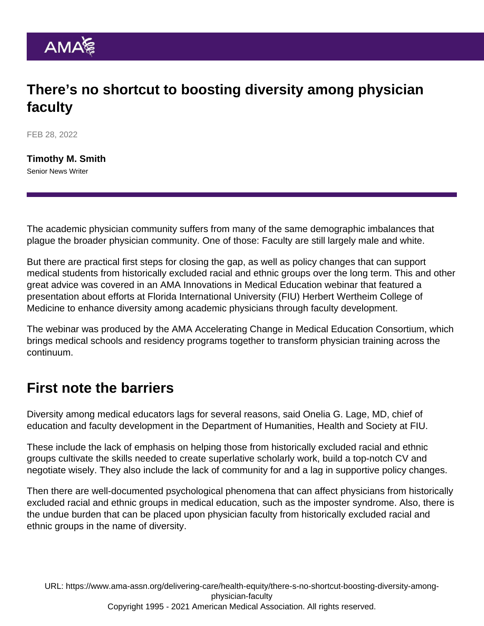## There's no shortcut to boosting diversity among physician faculty

FEB 28, 2022

[Timothy M. Smith](https://www.ama-assn.org/news-leadership-viewpoints/authors-news-leadership-viewpoints/timothy-m-smith) Senior News Writer

The academic physician community suffers from many of the same demographic imbalances that plague the broader physician community. One of those: Faculty are still largely male and white.

But there are practical first steps for closing the gap, as well as policy changes that can support medical students from historically excluded racial and ethnic groups over the long term. This and other great advice was covered in an [AMA Innovations in Medical Education](https://www.ama-assn.org/education/accelerating-change-medical-education/medical-education-webinars-and-virtual-discussions) webinar that featured a presentation about efforts at Florida International University (FIU) Herbert Wertheim College of Medicine to enhance diversity among academic physicians through faculty development.

The webinar was produced by the [AMA Accelerating Change in Medical Education Consortium,](https://www.ama-assn.org/education/accelerating-change-medical-education/transforming-transition-residency-nyu-grossman) which brings medical schools and residency programs together to transform physician training across the continuum.

## First note the barriers

Diversity among medical educators lags for several reasons, said Onelia G. Lage, MD, chief of education and faculty development in the Department of Humanities, Health and Society at FIU.

These include the lack of emphasis on helping those from historically excluded racial and ethnic groups cultivate the skills needed to create superlative scholarly work, build a top-notch CV and negotiate wisely. They also include the lack of community for and a lag in supportive policy changes.

Then there are well-documented psychological phenomena that can affect physicians from historically excluded racial and ethnic groups in medical education, such as the imposter syndrome. Also, there is the undue burden that can be placed upon physician faculty from historically excluded racial and ethnic groups in the name of diversity.

URL: [https://www.ama-assn.org/delivering-care/health-equity/there-s-no-shortcut-boosting-diversity-among](https://www.ama-assn.org/delivering-care/health-equity/there-s-no-shortcut-boosting-diversity-among-physician-faculty)[physician-faculty](https://www.ama-assn.org/delivering-care/health-equity/there-s-no-shortcut-boosting-diversity-among-physician-faculty) Copyright 1995 - 2021 American Medical Association. All rights reserved.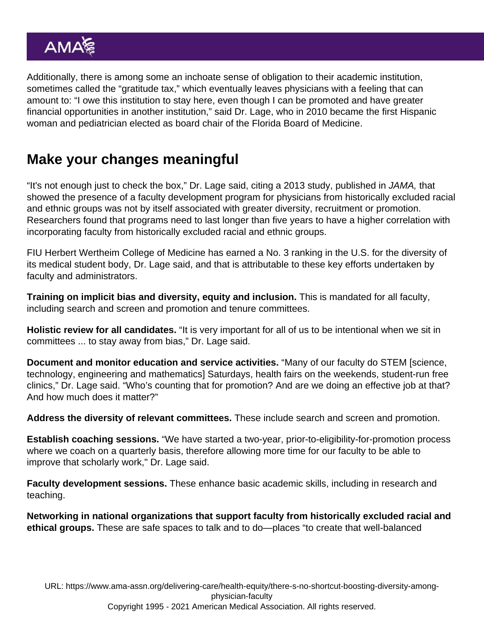Additionally, there is among some an inchoate sense of obligation to their academic institution, sometimes called the ["gratitude tax](https://journals.lww.com/academicmedicine/Fulltext/2019/12000/Addressing_the_Minority_Tax__Perspectives_From_Two.13.aspx)," which eventually leaves physicians with a feeling that can amount to: "I owe this institution to stay here, even though I can be promoted and have greater financial opportunities in another institution," said Dr. Lage, who in 2010 became the first Hispanic woman and pediatrician elected as board chair of the Florida Board of Medicine.

## Make your changes meaningful

"It's not enough just to check the box," Dr. Lage said, citing a 2013 [study,](https://jamanetwork.com/journals/jama/fullarticle/1787408) published in JAMA, that showed the presence of a faculty development program for physicians from historically excluded racial and ethnic groups was not by itself associated with greater diversity, recruitment or promotion. Researchers found that programs need to last longer than five years to have a higher correlation with incorporating faculty from historically excluded racial and ethnic groups.

FIU Herbert Wertheim College of Medicine has earned a [No. 3 ranking in the U.S.](https://news.fiu.edu/2021/herbert-wertheim-college-of-medicine-ranked-one-of-the-most-diverse-medical-schools-in-the-nation) for the diversity of its medical student body, Dr. Lage said, and that is attributable to these key efforts undertaken by faculty and administrators.

Training on i mplicit bias and diversity, equity and inclusion. This is mandated for all faculty, including search and screen and promotion and tenure committees.

Holistic review for all candidates. "It is very important for all of us to be intentional when we sit in committees ... to stay away from bias," Dr. Lage said.

Document and monitor education and service activities. "Many of our faculty do STEM [science, technology, engineering and mathematics] Saturdays, health fairs on the weekends, student-run free clinics," Dr. Lage said. "Who's counting that for promotion? And are we doing an effective job at that? And how much does it matter?"

Address the diversity of relevant committees. These include search and screen and promotion.

Establish coaching sessions. "We have started a two-year, prior-to-eligibility-for-promotion process where we coach on a quarterly basis, therefore allowing more time for our faculty to be able to improve that scholarly work," Dr. Lage said.

Faculty development sessions. These enhance basic academic skills, including in research and teaching.

Networking in national organizations that support faculty from historically excluded racial and ethical groups. These are safe spaces to talk and to do—places "to create that well-balanced

URL: [https://www.ama-assn.org/delivering-care/health-equity/there-s-no-shortcut-boosting-diversity-among](https://www.ama-assn.org/delivering-care/health-equity/there-s-no-shortcut-boosting-diversity-among-physician-faculty)[physician-faculty](https://www.ama-assn.org/delivering-care/health-equity/there-s-no-shortcut-boosting-diversity-among-physician-faculty) Copyright 1995 - 2021 American Medical Association. All rights reserved.